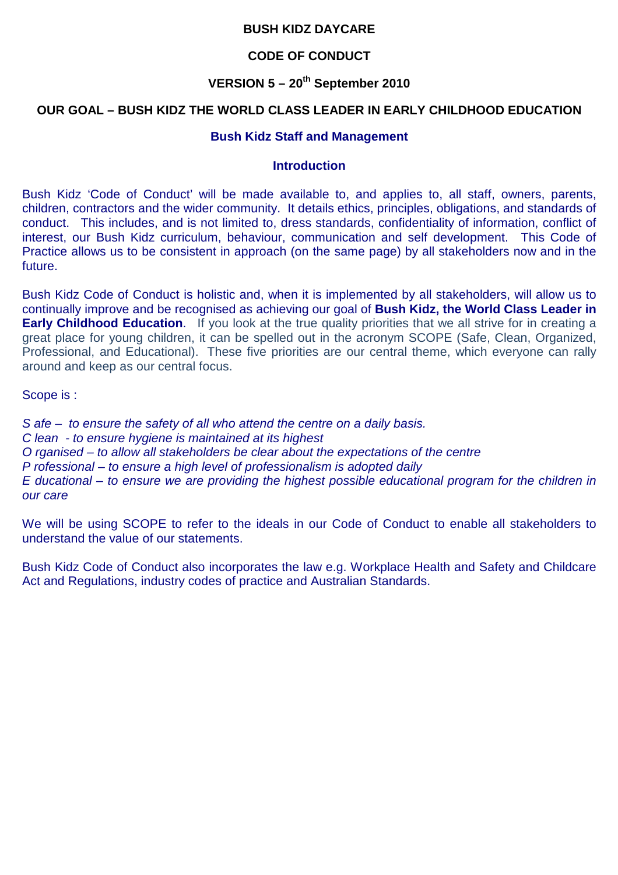### **BUSH KIDZ DAYCARE**

### **CODE OF CONDUCT**

## **VERSION 5 – 20th September 2010**

#### **OUR GOAL – BUSH KIDZ THE WORLD CLASS LEADER IN EARLY CHILDHOOD EDUCATION**

#### **Bush Kidz Staff and Management**

#### **Introduction**

Bush Kidz 'Code of Conduct' will be made available to, and applies to, all staff, owners, parents, children, contractors and the wider community. It details ethics, principles, obligations, and standards of conduct. This includes, and is not limited to, dress standards, confidentiality of information, conflict of interest, our Bush Kidz curriculum, behaviour, communication and self development. This Code of Practice allows us to be consistent in approach (on the same page) by all stakeholders now and in the future.

Bush Kidz Code of Conduct is holistic and, when it is implemented by all stakeholders, will allow us to continually improve and be recognised as achieving our goal of **Bush Kidz, the World Class Leader in Early Childhood Education.** If you look at the true quality priorities that we all strive for in creating a great place for young children, it can be spelled out in the acronym SCOPE (Safe, Clean, Organized, Professional, and Educational). These five priorities are our central theme, which everyone can rally around and keep as our central focus.

Scope is :

S afe – to ensure the safety of all who attend the centre on a daily basis. C lean - to ensure hygiene is maintained at its highest O rganised – to allow all stakeholders be clear about the expectations of the centre P rofessional – to ensure a high level of professionalism is adopted daily E ducational – to ensure we are providing the highest possible educational program for the children in our care

We will be using SCOPE to refer to the ideals in our Code of Conduct to enable all stakeholders to understand the value of our statements.

Bush Kidz Code of Conduct also incorporates the law e.g. Workplace Health and Safety and Childcare Act and Regulations, industry codes of practice and Australian Standards.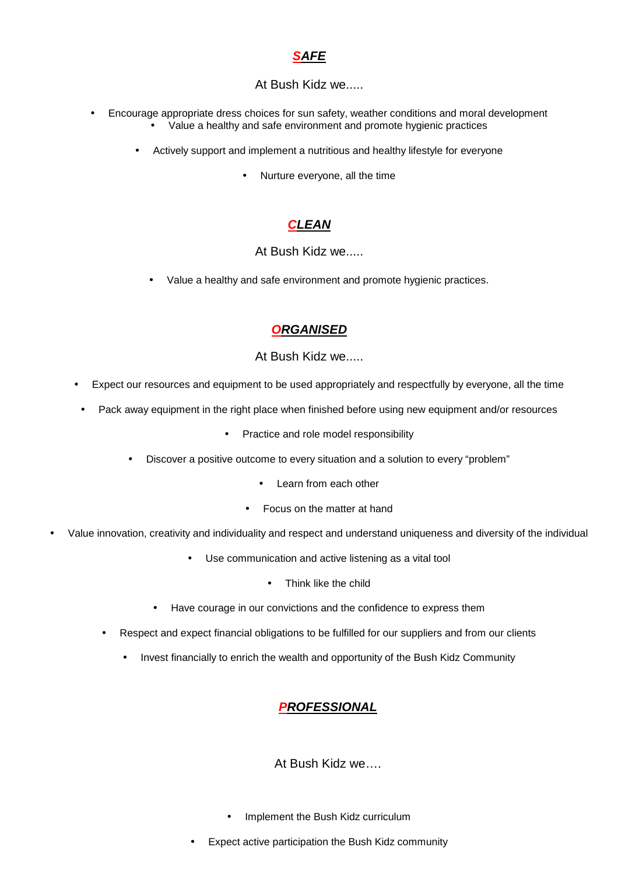## **SAFE**

#### At Bush Kidz we.....

- Encourage appropriate dress choices for sun safety, weather conditions and moral development • Value a healthy and safe environment and promote hygienic practices
	- Actively support and implement a nutritious and healthy lifestyle for everyone
		- Nurture everyone, all the time

# **CLEAN**

#### At Bush Kidz we.....

• Value a healthy and safe environment and promote hygienic practices.

### **ORGANISED**

#### At Bush Kidz we.....

- Expect our resources and equipment to be used appropriately and respectfully by everyone, all the time
	- Pack away equipment in the right place when finished before using new equipment and/or resources
		- Practice and role model responsibility
		- Discover a positive outcome to every situation and a solution to every "problem"
			- Learn from each other
			- Focus on the matter at hand
- Value innovation, creativity and individuality and respect and understand uniqueness and diversity of the individual
	- Use communication and active listening as a vital tool
		- Think like the child
	- Have courage in our convictions and the confidence to express them
	- Respect and expect financial obligations to be fulfilled for our suppliers and from our clients
		- Invest financially to enrich the wealth and opportunity of the Bush Kidz Community

## **PROFESSIONAL**

#### At Bush Kidz we….

- Implement the Bush Kidz curriculum
- Expect active participation the Bush Kidz community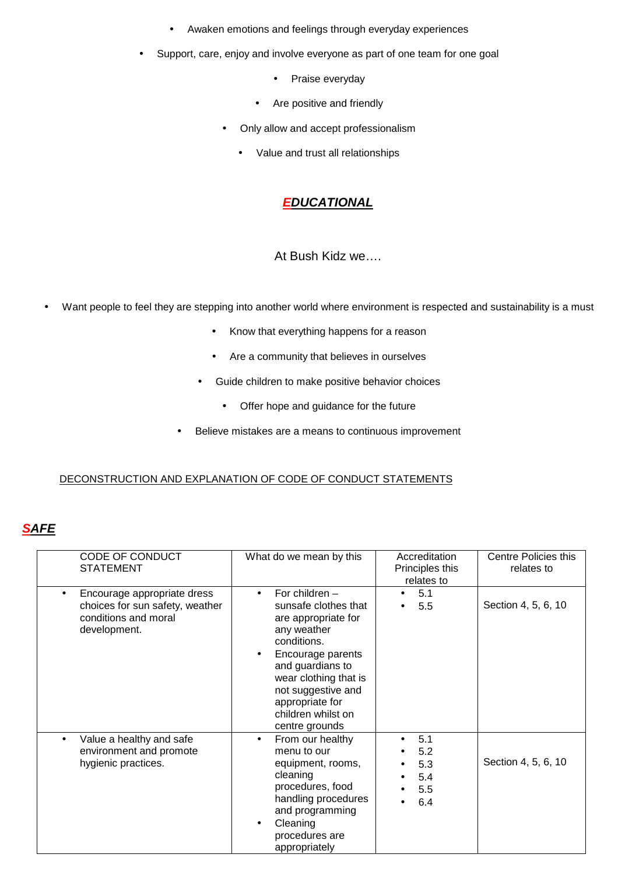- Awaken emotions and feelings through everyday experiences
- Support, care, enjoy and involve everyone as part of one team for one goal
	- Praise everyday
	- Are positive and friendly
	- Only allow and accept professionalism
		- Value and trust all relationships

# **EDUCATIONAL**

#### At Bush Kidz we….

- Want people to feel they are stepping into another world where environment is respected and sustainability is a must
	- Know that everything happens for a reason
	- Are a community that believes in ourselves
	- Guide children to make positive behavior choices
		- Offer hope and guidance for the future
	- Believe mistakes are a means to continuous improvement

#### DECONSTRUCTION AND EXPLANATION OF CODE OF CONDUCT STATEMENTS

## **SAFE**

| CODE OF CONDUCT<br><b>STATEMENT</b>                                                                    | What do we mean by this                                                                                                                                                                                                                                                    | Accreditation<br>Principles this<br>relates to | Centre Policies this<br>relates to |
|--------------------------------------------------------------------------------------------------------|----------------------------------------------------------------------------------------------------------------------------------------------------------------------------------------------------------------------------------------------------------------------------|------------------------------------------------|------------------------------------|
| Encourage appropriate dress<br>choices for sun safety, weather<br>conditions and moral<br>development. | For children $-$<br>$\bullet$<br>sunsafe clothes that<br>are appropriate for<br>any weather<br>conditions.<br>Encourage parents<br>$\bullet$<br>and guardians to<br>wear clothing that is<br>not suggestive and<br>appropriate for<br>children whilst on<br>centre grounds | 5.1<br>5.5                                     | Section 4, 5, 6, 10                |
| Value a healthy and safe<br>environment and promote<br>hygienic practices.                             | From our healthy<br>$\bullet$<br>menu to our<br>equipment, rooms,<br>cleaning<br>procedures, food<br>handling procedures<br>and programming<br>Cleaning<br>$\bullet$<br>procedures are<br>appropriately                                                                    | 5.1<br>5.2<br>5.3<br>5.4<br>5.5<br>6.4         | Section 4, 5, 6, 10                |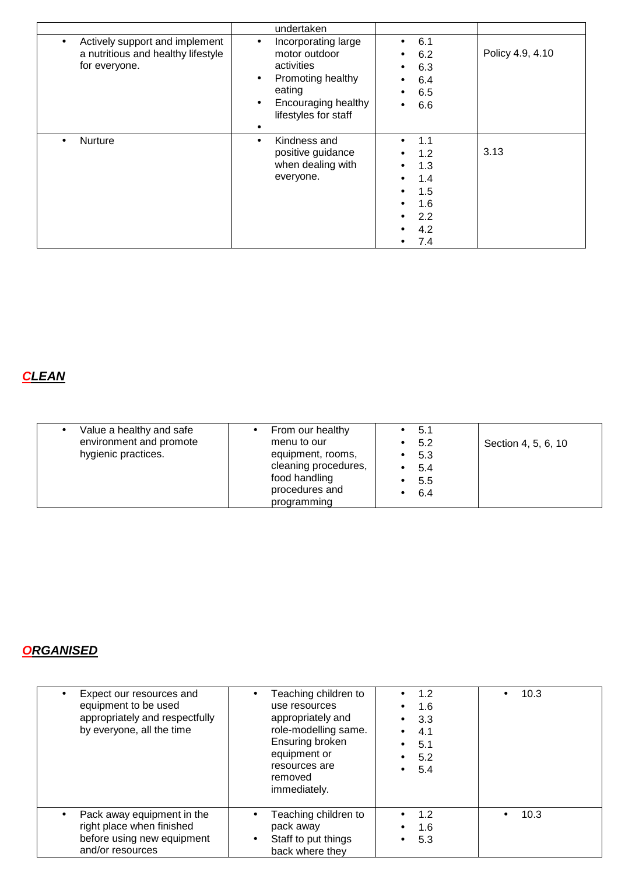|                                                                                                    | undertaken                                                                                                                                                      |                                                             |                  |
|----------------------------------------------------------------------------------------------------|-----------------------------------------------------------------------------------------------------------------------------------------------------------------|-------------------------------------------------------------|------------------|
| Actively support and implement<br>$\bullet$<br>a nutritious and healthy lifestyle<br>for everyone. | Incorporating large<br>$\bullet$<br>motor outdoor<br>activities<br>Promoting healthy<br>٠<br>eating<br>Encouraging healthy<br>$\bullet$<br>lifestyles for staff | 6.1<br>6.2<br>6.3<br>6.4<br>6.5<br>6.6                      | Policy 4.9, 4.10 |
| Nurture                                                                                            | Kindness and<br>positive guidance<br>when dealing with<br>everyone.                                                                                             | 1.1<br>1.2<br>1.3<br>1.4<br>1.5<br>1.6<br>2.2<br>4.2<br>7.4 | 3.13             |

# **CLEAN**

# **ORGANISED**

| Expect our resources and<br>equipment to be used<br>appropriately and respectfully<br>by everyone, all the time | Teaching children to<br>$\bullet$<br>use resources<br>appropriately and<br>role-modelling same.<br>Ensuring broken<br>equipment or<br>resources are<br>removed<br>immediately. | 1.2<br>$\bullet$<br>1.6<br>$\bullet$<br>3.3<br>$\bullet$<br>4.1<br>$\bullet$<br>5.1<br>$\bullet$<br>5.2<br>$\bullet$<br>5.4<br>$\bullet$ | 10.3 |
|-----------------------------------------------------------------------------------------------------------------|--------------------------------------------------------------------------------------------------------------------------------------------------------------------------------|------------------------------------------------------------------------------------------------------------------------------------------|------|
| Pack away equipment in the<br>right place when finished<br>before using new equipment<br>and/or resources       | Teaching children to<br>$\bullet$<br>pack away<br>Staff to put things<br>$\bullet$<br>back where they                                                                          | $\bullet$ 1.2<br>1.6<br>5.3<br>$\bullet$                                                                                                 | 10.3 |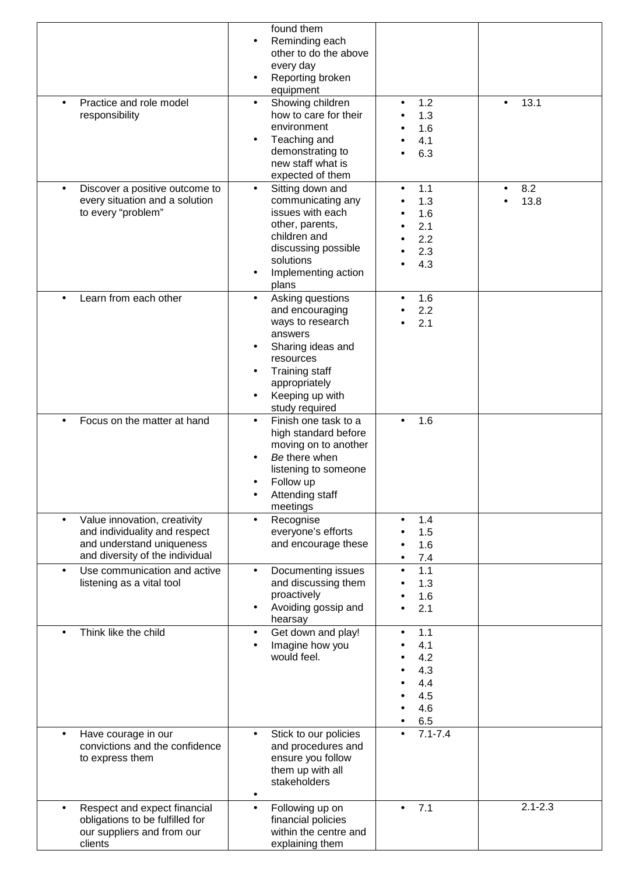|                                                                                                                               | found them<br>Reminding each<br>$\bullet$<br>other to do the above                                                                                                                                            |                                                                   |             |
|-------------------------------------------------------------------------------------------------------------------------------|---------------------------------------------------------------------------------------------------------------------------------------------------------------------------------------------------------------|-------------------------------------------------------------------|-------------|
|                                                                                                                               | every day<br>Reporting broken<br>equipment                                                                                                                                                                    |                                                                   |             |
| Practice and role model<br>responsibility                                                                                     | Showing children<br>$\bullet$<br>how to care for their<br>environment<br>Teaching and<br>demonstrating to<br>new staff what is<br>expected of them                                                            | 1.2<br>$\bullet$<br>1.3<br>1.6<br>4.1<br>6.3                      | 13.1        |
| Discover a positive outcome to<br>$\bullet$<br>every situation and a solution<br>to every "problem"                           | Sitting down and<br>$\bullet$<br>communicating any<br>issues with each<br>other, parents,<br>children and<br>discussing possible<br>solutions<br>Implementing action<br>plans                                 | 1.1<br>$\bullet$<br>1.3<br>1.6<br>2.1<br>2.2<br>2.3<br>4.3        | 8.2<br>13.8 |
| Learn from each other                                                                                                         | Asking questions<br>$\bullet$<br>and encouraging<br>ways to research<br>answers<br>Sharing ideas and<br>resources<br><b>Training staff</b><br>$\bullet$<br>appropriately<br>Keeping up with<br>study required | 1.6<br>$\bullet$<br>2.2<br>2.1                                    |             |
| Focus on the matter at hand                                                                                                   | Finish one task to a<br>$\bullet$<br>high standard before<br>moving on to another<br>Be there when<br>listening to someone<br>Follow up<br>Attending staff<br>meetings                                        | 1.6                                                               |             |
| Value innovation, creativity<br>and individuality and respect<br>and understand uniqueness<br>and diversity of the individual | Recognise<br>$\bullet$<br>everyone's efforts<br>and encourage these                                                                                                                                           | 1.4<br>$\bullet$<br>1.5<br>1.6<br>7.4<br>$\bullet$                |             |
| Use communication and active<br>listening as a vital tool                                                                     | Documenting issues<br>$\bullet$<br>and discussing them<br>proactively<br>Avoiding gossip and<br>hearsay                                                                                                       | 1.1<br>$\bullet$<br>1.3<br>1.6<br>2.1                             |             |
| Think like the child                                                                                                          | Get down and play!<br>$\bullet$<br>Imagine how you<br>would feel.                                                                                                                                             | 1.1<br>$\bullet$<br>4.1<br>4.2<br>4.3<br>4.4<br>4.5<br>4.6<br>6.5 |             |
| Have courage in our<br>convictions and the confidence<br>to express them                                                      | Stick to our policies<br>$\bullet$<br>and procedures and<br>ensure you follow<br>them up with all<br>stakeholders<br>$\bullet$                                                                                | $7.1 - 7.4$                                                       |             |
| Respect and expect financial<br>obligations to be fulfilled for<br>our suppliers and from our<br>clients                      | Following up on<br>$\bullet$<br>financial policies<br>within the centre and<br>explaining them                                                                                                                | 7.1                                                               | $2.1 - 2.3$ |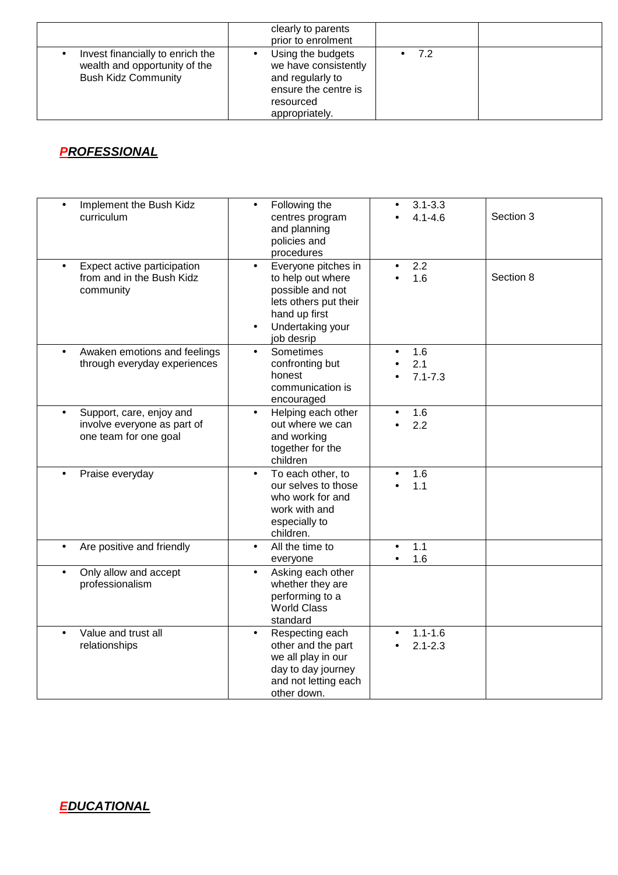|                                                                                                 | clearly to parents<br>prior to enrolment                                                                             |     |  |
|-------------------------------------------------------------------------------------------------|----------------------------------------------------------------------------------------------------------------------|-----|--|
| Invest financially to enrich the<br>wealth and opportunity of the<br><b>Bush Kidz Community</b> | Using the budgets<br>we have consistently<br>and regularly to<br>ensure the centre is<br>resourced<br>appropriately. | 7.2 |  |

# **PROFESSIONAL**

| Implement the Bush Kidz<br>$\bullet$<br>curriculum                                            | Following the<br>$\bullet$<br>centres program<br>and planning<br>policies and<br>procedures                                                           | $3.1 - 3.3$<br>$4.1 - 4.6$           | Section 3 |
|-----------------------------------------------------------------------------------------------|-------------------------------------------------------------------------------------------------------------------------------------------------------|--------------------------------------|-----------|
| Expect active participation<br>$\bullet$<br>from and in the Bush Kidz<br>community            | Everyone pitches in<br>$\bullet$<br>to help out where<br>possible and not<br>lets others put their<br>hand up first<br>Undertaking your<br>job desrip | 2.2<br>1.6                           | Section 8 |
| Awaken emotions and feelings<br>$\bullet$<br>through everyday experiences                     | Sometimes<br>$\bullet$<br>confronting but<br>honest<br>communication is<br>encouraged                                                                 | 1.6<br>2.1<br>$7.1 - 7.3$            |           |
| Support, care, enjoy and<br>$\bullet$<br>involve everyone as part of<br>one team for one goal | Helping each other<br>$\bullet$<br>out where we can<br>and working<br>together for the<br>children                                                    | 1.6<br>2.2                           |           |
| Praise everyday                                                                               | To each other, to<br>our selves to those<br>who work for and<br>work with and<br>especially to<br>children.                                           | 1.6<br>1.1                           |           |
| Are positive and friendly<br>$\bullet$                                                        | All the time to<br>$\bullet$<br>everyone                                                                                                              | 1.1<br>$\bullet$<br>1.6<br>$\bullet$ |           |
| Only allow and accept<br>$\bullet$<br>professionalism                                         | Asking each other<br>$\bullet$<br>whether they are<br>performing to a<br><b>World Class</b><br>standard                                               |                                      |           |
| Value and trust all<br>$\bullet$<br>relationships                                             | Respecting each<br>$\bullet$<br>other and the part<br>we all play in our<br>day to day journey<br>and not letting each<br>other down.                 | $1.1 - 1.6$<br>$2.1 - 2.3$           |           |